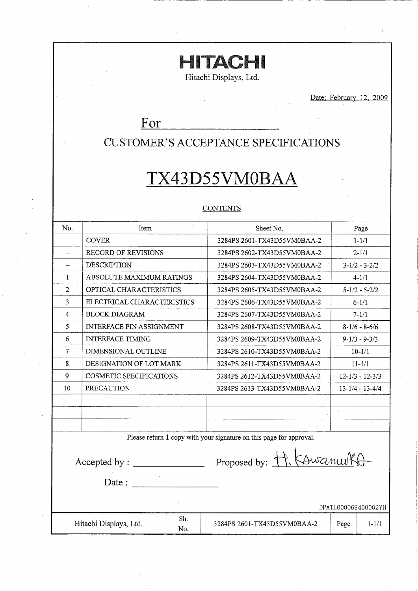# **HITACHI**

Hitachi Displays, Ltd.

Date; February 12, 2009

 $\cdot$ 

## For

## **CUSTOMER'S ACCEPTANCE SPECIFICATIONS**

# TX43D55VM0BAA

## **CONTENTS**

| No.                      | Item                            | Sheet No.                                                           | Page                  |  |  |  |  |  |  |
|--------------------------|---------------------------------|---------------------------------------------------------------------|-----------------------|--|--|--|--|--|--|
|                          | <b>COVER</b>                    | 3284PS 2601-TX43D55VM0BAA-2                                         | $1 - 1/1$             |  |  |  |  |  |  |
| $\overline{\phantom{0}}$ | <b>RECORD OF REVISIONS</b>      | 3284PS 2602-TX43D55VM0BAA-2                                         | $2 - 1/1$             |  |  |  |  |  |  |
|                          | <b>DESCRIPTION</b>              | 3284PS 2603-TX43D55VM0BAA-2                                         | $3 - 1/2 - 3 - 2/2$   |  |  |  |  |  |  |
| $\mathbf{1}$             | ABSOLUTE MAXIMUM RATINGS        | 3284PS 2604-TX43D55VM0BAA-2                                         | $4 - 1/1$             |  |  |  |  |  |  |
| 2                        | OPTICAL CHARACTERISTICS         | 3284PS 2605-TX43D55VM0BAA-2                                         | $5 - 1/2 - 5 - 2/2$   |  |  |  |  |  |  |
| 3                        | ELECTRICAL CHARACTERISTICS      | 3284PS 2606-TX43D55VM0BAA-2                                         | $6 - 1/1$             |  |  |  |  |  |  |
| 4                        | <b>BLOCK DIAGRAM</b>            | 3284PS 2607-TX43D55VM0BAA-2                                         | $7 - 1/1$             |  |  |  |  |  |  |
| 5                        | <b>INTERFACE PIN ASSIGNMENT</b> | 3284PS 2608-TX43D55VM0BAA-2                                         | $8-1/6 - 8-6/6$       |  |  |  |  |  |  |
| 6                        | <b>INTERFACE TIMING</b>         | 3284PS 2609-TX43D55VM0BAA-2                                         | $9-1/3 - 9-3/3$       |  |  |  |  |  |  |
| $\tau$                   | DIMENSIONAL OUTLINE             | 3284PS 2610-TX43D55VM0BAA-2                                         | $10 - 1/1$            |  |  |  |  |  |  |
| 8                        | DESIGNATION OF LOT MARK         | 3284PS 2611-TX43D55VM0BAA-2                                         | $11 - 1/1$            |  |  |  |  |  |  |
| 9                        | COSMETIC SPECIFICATIONS         | 3284PS 2612-TX43D55VM0BAA-2                                         | $12 - 1/3 - 12 - 3/3$ |  |  |  |  |  |  |
| 10                       | <b>PRECAUTION</b>               | 3284PS 2613-TX43D55VM0BAA-2                                         | $13 - 1/4 - 13 - 4/4$ |  |  |  |  |  |  |
|                          |                                 |                                                                     |                       |  |  |  |  |  |  |
|                          |                                 |                                                                     | ÷.                    |  |  |  |  |  |  |
|                          |                                 |                                                                     |                       |  |  |  |  |  |  |
|                          |                                 | Please return 1 copy with your signature on this page for approval. |                       |  |  |  |  |  |  |
| Accepted by :<br>Date:   |                                 | Proposed by: H. KAwamurkA                                           |                       |  |  |  |  |  |  |
|                          |                                 |                                                                     |                       |  |  |  |  |  |  |
|                          | DPATL000069400002YH             |                                                                     |                       |  |  |  |  |  |  |

Sh. Hitachi Displays, Ltd. Page  $1 - 1/1$ 3284PS 2601-TX43D55VM0BAA-2 No.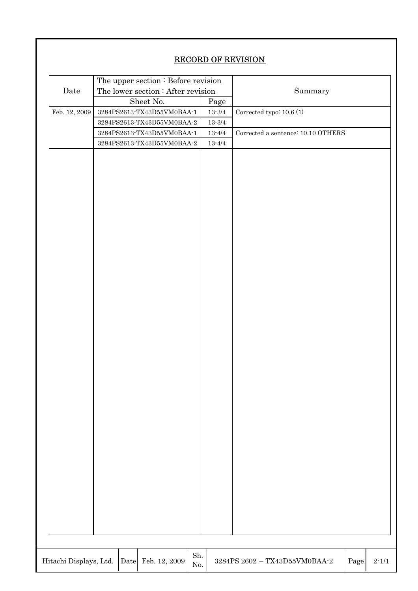## RECORD OF REVISION

| Date                   |           | The upper section : Before revision<br>The lower section : After revision                                             |            |                    | Summary                                            |           |  |  |  |
|------------------------|-----------|-----------------------------------------------------------------------------------------------------------------------|------------|--------------------|----------------------------------------------------|-----------|--|--|--|
|                        | Sheet No. |                                                                                                                       |            | Page               |                                                    |           |  |  |  |
| Feb. 12, 2009          |           | 3284PS2613-TX43D55VM0BAA-1                                                                                            |            | $13\mathchar`-3/4$ | Corrected typo: $10.6(1)$                          |           |  |  |  |
|                        |           | $3284\mathrm{PS}2613\text{-} \mathrm{TX}43\mathrm{D}55\mathrm{V} \mathrm{M}0\mathrm{B} \mathrm{A}\mathrm{A}\text{-}2$ |            | $13 - 3/4$         |                                                    |           |  |  |  |
|                        |           | 3284PS2613-TX43D55VM0BAA-1                                                                                            |            | $13\mbox{-}4/4$    | Corrected a sentence: 10.10 OTHERS                 |           |  |  |  |
|                        |           | $3284\mathrm{PS}2613\text{-} \mathrm{TX}43\mathrm{D}55\mathrm{V} \mathrm{M}0\mathrm{B} \mathrm{A}\mathrm{A}\text{-}2$ |            | $13 - 4/4$         |                                                    |           |  |  |  |
|                        |           |                                                                                                                       |            |                    |                                                    |           |  |  |  |
| Hitachi Displays, Ltd. | Date      | Feb. 12, 2009                                                                                                         | Sh.<br>No. |                    | $3284\mathrm{PS}$ $2602$ – TX43D55VM0BAA-2<br>Page | $2 - 1/1$ |  |  |  |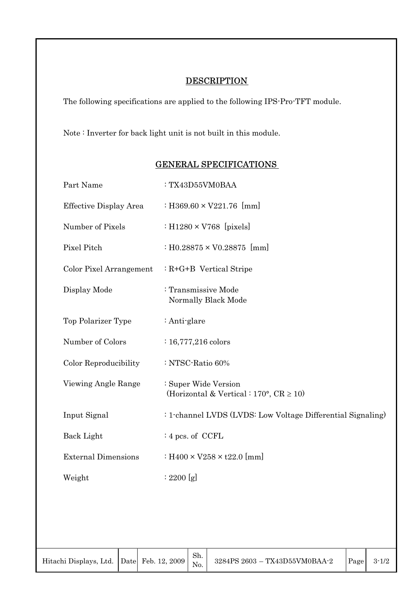## **DESCRIPTION**

The following specifications are applied to the following IPS-Pro-TFT module.

Note : Inverter for back light unit is not built in this module.

| Part Name                  | : TX43D55VM0BAA                                                      |
|----------------------------|----------------------------------------------------------------------|
| Effective Display Area     | : H369.60 $\times$ V221.76 [mm]                                      |
| Number of Pixels           | : H1280 $\times$ V768 [pixels]                                       |
| Pixel Pitch                | : H0.28875 $\times$ V0.28875 [mm]                                    |
| Color Pixel Arrangement    | $: R + G + B$ Vertical Stripe                                        |
| Display Mode               | : Transmissive Mode<br>Normally Black Mode                           |
| Top Polarizer Type         | : Anti-glare                                                         |
| Number of Colors           | $: 16,777,216$ colors                                                |
| Color Reproducibility      | : NTSC-Ratio 60%                                                     |
| Viewing Angle Range        | : Super Wide Version<br>(Horizontal & Vertical : 170°, $CR \ge 10$ ) |
| Input Signal               | : 1-channel LVDS (LVDS: Low Voltage Differential Signaling)          |
| Back Light                 | $: 4$ pcs. of CCFL                                                   |
| <b>External Dimensions</b> | : H400 $\times$ V258 $\times$ t22.0 [mm]                             |
| Weight                     | : 2200 [g]                                                           |

## GENERAL SPECIFICATIONS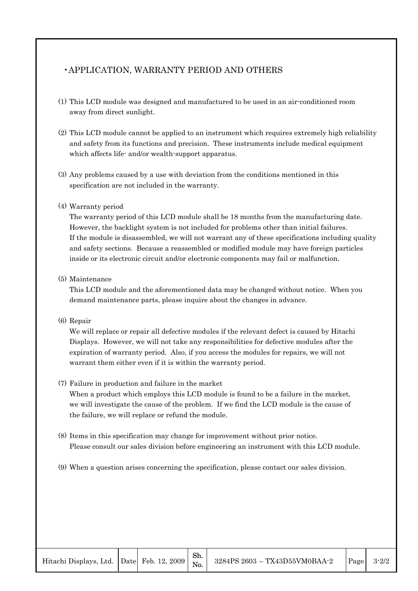## •APPLICATION, WARRANTY PERIOD AND OTHERS

- (1) This LCD module was designed and manufactured to be used in an air-conditioned room away from direct sunlight.
- (2) This LCD module cannot be applied to an instrument which requires extremely high reliability and safety from its functions and precision. These instruments include medical equipment which affects life- and/or wealth-support apparatus.
- (3) Any problems caused by a use with deviation from the conditions mentioned in this specification are not included in the warranty.

#### (4) Warranty period

The warranty period of this LCD module shall be 18 months from the manufacturing date. However, the backlight system is not included for problems other than initial failures. If the module is disassembled, we will not warrant any of these specifications including quality and safety sections. Because a reassembled or modified module may have foreign particles inside or its electronic circuit and/or electronic components may fail or malfunction.

#### (5) Maintenance

This LCD module and the aforementioned data may be changed without notice. When you demand maintenance parts, please inquire about the changes in advance.

#### (6) Repair

We will replace or repair all defective modules if the relevant defect is caused by Hitachi Displays. However, we will not take any responsibilities for defective modules after the expiration of warranty period. Also, if you access the modules for repairs, we will not warrant them either even if it is within the warranty period.

#### (7) Failure in production and failure in the market

When a product which employs this LCD module is found to be a failure in the market, we will investigate the cause of the problem. If we find the LCD module is the cause of the failure, we will replace or refund the module.

- (8) Items in this specification may change for improvement without prior notice. Please consult our sales division before engineering an instrument with this LCD module.
- (9) When a question arises concerning the specification, please contact our sales division.

Sh. No.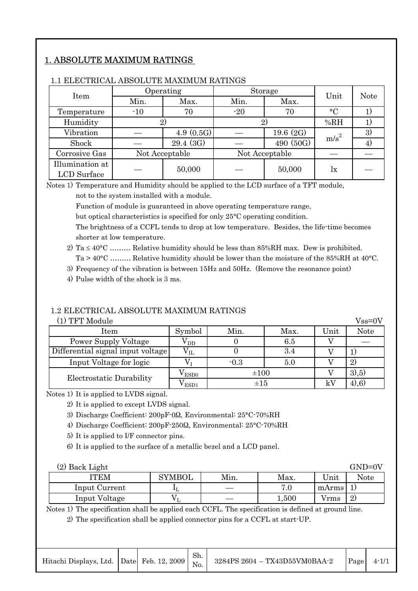## 1. ABSOLUTE MAXIMUM RATINGS

| Item            |                | Operating |       | Storage        | Unit             | <b>Note</b> |  |
|-----------------|----------------|-----------|-------|----------------|------------------|-------------|--|
|                 | Min.           | Max.      | Min.  | Max.           |                  |             |  |
| Temperature     | $-10$<br>70    |           | $-20$ | 70             | $\rm ^{\circ}C$  |             |  |
| Humidity        |                |           |       | 2)             | %RH              |             |  |
| Vibration       |                | 4.9(0.5G) |       | 19.6 $(2G)$    | m/s <sup>2</sup> | 3)          |  |
| Shock           |                | 29.4 (3G) |       | 490 (50G)      |                  | 4)          |  |
| Corrosive Gas   | Not Acceptable |           |       | Not Acceptable |                  |             |  |
| Illumination at |                | 50,000    |       | 50,000         |                  |             |  |
| LCD Surface     |                |           |       |                | lx               |             |  |

#### 1.1 ELECTRICAL ABSOLUTE MAXIMUM RATINGS

Notes 1) Temperature and Humidity should be applied to the LCD surface of a TFT module,

not to the system installed with a module.

Function of module is guaranteed in above operating temperature range,

but optical characteristics is specified for only 25°C operating condition.

The brightness of a CCFL tends to drop at low temperature. Besides, the life-time becomes shorter at low temperature.

2) Ta  $\leq 40^{\circ}$ C ……… Relative humidity should be less than 85%RH max. Dew is prohibited. Ta > 40°C ……… Relative humidity should be lower than the moisture of the 85%RH at 40°C.

3) Frequency of the vibration is between 15Hz and 50Hz. (Remove the resonance point)

4) Pulse width of the shock is 3 ms.

## 1.2 ELECTRICAL ABSOLUTE MAXIMUM RATINGS

|  |  | (1) TFT Module |
|--|--|----------------|
|--|--|----------------|

| (1) TFT Module                    |                    |           |      |      | $Vss=0V$    |
|-----------------------------------|--------------------|-----------|------|------|-------------|
| Item                              | Symbol             | Min.      | Max. | Unit | <b>Note</b> |
| Power Supply Voltage              | $\rm V_{DD}$       |           | 6.5  |      |             |
| Differential signal input voltage | ${\rm v}_{\rm IL}$ |           | 3.4  |      | T,          |
| Input Voltage for logic           |                    | $-0.3$    | 5.0  |      | 2)          |
| Electrostatic Durability          | $\rm V_{ESD0}$     | $\pm 100$ |      |      | 3,5)        |
|                                   | ESD1               | $\pm 1.5$ |      | kV   | $(4)$ , 6)  |

Notes 1) It is applied to LVDS signal.

2) It is applied to except LVDS signal.

3) Discharge Coefficient: 200pF-0Q, Environmental: 25°C-70%RH

4) Discharge Coefficient: 200pF-250Q, Environmental: 25°C-70%RH

5) It is applied to I/F connector pins.

6) It is applied to the surface of a metallic bezel and a LCD panel.

| (2) Back Light |               |      |       |       | $GND=0V$ |
|----------------|---------------|------|-------|-------|----------|
| ITEM           | <b>SYMBOL</b> | Min. | Max.  | Unit  | Note     |
| Input Current  | $\mathbf{F}$  |      | 7.0   | mArms |          |
| Input Voltage  |               |      | 1,500 | Vrms  | 2)       |

Notes 1) The specification shall be applied each CCFL. The specification is defined at ground line. 2) The specification shall be applied connector pins for a CCFL at start-UP.

| Hitachi Displays, Ltd. $\left  \right $ Date Feb. 12, 2009 $\left  \right $ No. |  |  | Sh. | $\left  \right $ 3284PS 2604 - TX43D55VM0BAA-2 | Page | $4 - 1/1$ |
|---------------------------------------------------------------------------------|--|--|-----|------------------------------------------------|------|-----------|
|---------------------------------------------------------------------------------|--|--|-----|------------------------------------------------|------|-----------|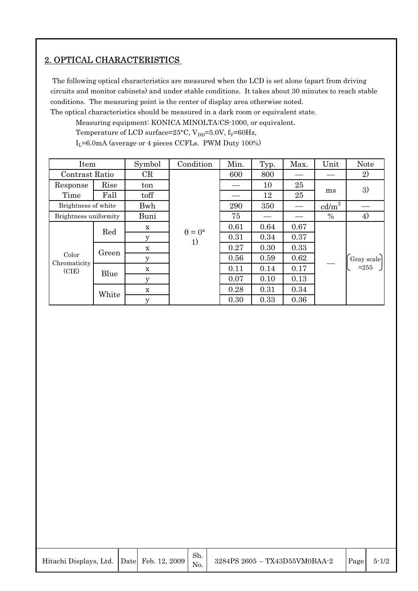## 2. OPTICAL CHARACTERISTICS

 The following optical characteristics are measured when the LCD is set alone (apart from driving circuits and monitor cabinets) and under stable conditions. It takes about 30 minutes to reach stable conditions. The measuring point is the center of display area otherwise noted.

The optical characteristics should be measured in a dark room or equivalent state.

Measuring equipment: KONICA MINOLTA:CS-1000, or equivalent.

Temperature of LCD surface=25°C,  $V_{DD}$ =5.0V,  $f_V$ =60Hz,

 $I_L$ =6.0mA (average or 4 pieces CCFLs. PWM Duty 100%)

| Item                  |       | Symbol      | Condition            | Min. | Typ. | Max. | Unit            | <b>Note</b> |
|-----------------------|-------|-------------|----------------------|------|------|------|-----------------|-------------|
| Contrast Ratio        |       | CR          |                      | 600  | 800  |      |                 | 2)          |
| Response              | Rise  | ton         |                      |      | 10   | 25   |                 | 3)          |
| Time                  | Fall  | toff        |                      |      | 12   | 25   | ms              |             |
| Brightness of white   |       | Bwh         |                      | 290  | 350  |      | $\text{cd/m}^2$ |             |
| Brightness uniformity |       | Buni        |                      | 75   |      |      | $\%$            | 4)          |
|                       | Red   | $\mathbf X$ | $\theta = 0^{\circ}$ | 0.61 | 0.64 | 0.67 |                 |             |
|                       |       | $\mathbf y$ | 1)                   | 0.31 | 0.34 | 0.37 |                 |             |
|                       |       | $\mathbf X$ |                      | 0.27 | 0.30 | 0.33 |                 |             |
| Color                 | Green | y           |                      | 0.56 | 0.59 | 0.62 |                 | Gray scale  |
| Chromaticity<br>(CIE) | Blue  | $\mathbf X$ |                      | 0.11 | 0.14 | 0.17 |                 | $= 255$     |
|                       |       | $\mathbf y$ |                      | 0.07 | 0.10 | 0.13 |                 |             |
|                       |       | $\mathbf X$ |                      | 0.28 | 0.31 | 0.34 |                 |             |
|                       | White | $\mathbf y$ |                      | 0.30 | 0.33 | 0.36 |                 |             |

| Hitachi Displays, Ltd. Date Feb. |  |
|----------------------------------|--|
|                                  |  |

Sh. No.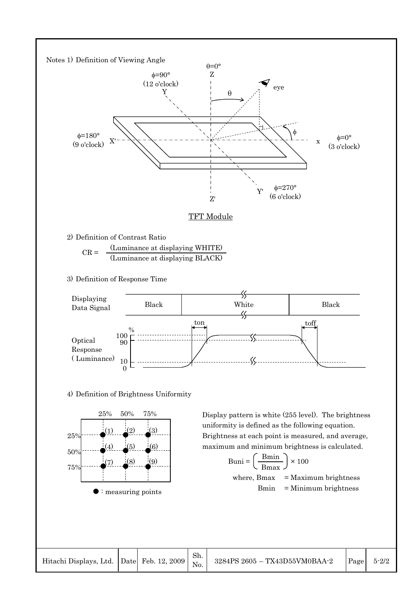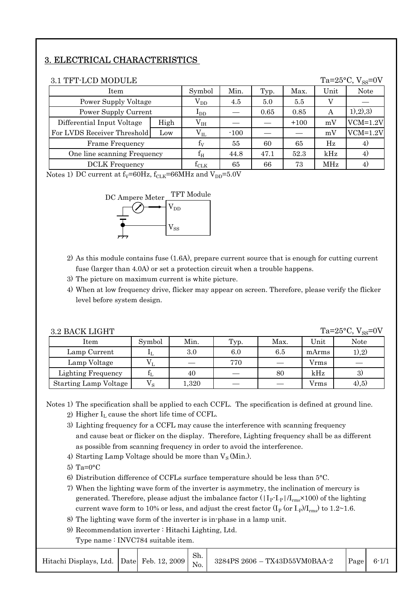## 3. ELECTRICAL CHARACTERISTICS

| Ta= $25^{\circ}$ C, V <sub>ss</sub> =0V<br>3.1 TFT-LCD MODULE |          |              |        |      |        |      |               |  |
|---------------------------------------------------------------|----------|--------------|--------|------|--------|------|---------------|--|
| Item                                                          |          | Symbol       | Min.   | Typ. | Max.   | Unit | <b>Note</b>   |  |
| Power Supply Voltage                                          | $V_{DD}$ | 4.5          | 5.0    | 5.5  |        |      |               |  |
| Power Supply Current                                          |          | $I_{DD}$     |        | 0.65 | 0.85   | А    | (1), (2), (3) |  |
| Differential Input Voltage                                    | High     | $V_{IH}$     |        |      | $+100$ | mV   | $VCM=1.2V$    |  |
| For LVDS Receiver Threshold                                   | Low      | $\rm V_{II}$ | $-100$ |      |        | mV   | $VCM=1.2V$    |  |
| Frame Frequency                                               |          | $f_V$        | 55     | 60   | 65     | Hz   | 4)            |  |
| One line scanning Frequency                                   |          | $\rm f_{H}$  | 44.8   | 47.1 | 52.3   | kHz  | 4)            |  |
| <b>DCLK</b> Frequency                                         |          |              | 65     | 66   | 73     | MHz  | 4)            |  |

Notes 1) DC current at  $f_V = 60Hz$ ,  $f_{CLK} = 66MHz$  and  $V_{DD} = 5.0V$ 



- 2) As this module contains fuse (1.6A), prepare current source that is enough for cutting current fuse (larger than 4.0A) or set a protection circuit when a trouble happens.
- 3) The picture on maximum current is white picture.
- 4) When at low frequency drive, flicker may appear on screen. Therefore, please verify the flicker level before system design.

| Ta= $25^{\circ}$ C, V <sub>ss</sub> =0V<br>3.2 BACK LIGHT |             |       |      |      |       |             |  |  |  |
|-----------------------------------------------------------|-------------|-------|------|------|-------|-------------|--|--|--|
| Item                                                      | Symbol      | Min.  | Typ. | Max. | Unit  | <b>Note</b> |  |  |  |
| Lamp Current                                              |             | 3.0   | 6.0  | 6.5  | mArms | $1)$ , 2)   |  |  |  |
| Lamp Voltage                                              |             |       | 770  |      | Vrms  |             |  |  |  |
| <b>Lighting Frequency</b>                                 |             | 40    |      | 80   | kHz   | 3)          |  |  |  |
| <b>Starting Lamp Voltage</b>                              | $V_{\rm c}$ | l,320 |      |      | Vrms  | $(4)$ , 5)  |  |  |  |

Notes 1) The specification shall be applied to each CCFL. The specification is defined at ground line.

- 2) Higher  $I_L$  cause the short life time of CCFL.
- 3) Lighting frequency for a CCFL may cause the interference with scanning frequency and cause beat or flicker on the display. Therefore, Lighting frequency shall be as different as possible from scanning frequency in order to avoid the interference.
- 4) Starting Lamp Voltage should be more than  $V_S$  (Min.).
- 5) Ta= $0^{\circ}$ C
- 6) Distribution difference of CCFLs surface temperature should be less than 5°C.
- 7) When the lighting wave form of the inverter is asymmetry, the inclination of mercury is generated. Therefore, please adjust the imbalance factor  $(|I_P-I_P|/I_{rms}\times100)$  of the lighting current wave form to 10% or less, and adjust the crest factor  $(I_P$  (or  $I_P$ )/ $I_{rms}$ ) to 1.2~1.6.
- 8) The lighting wave form of the inverter is in-phase in a lamp unit.
- 9) Recommendation inverter : Hitachi Lighting, Ltd.

Type name : INVC784 suitable item.

| Hitachi Displays, Ltd. $\left  \right $ Date Feb. 12, 2009 $\left  \right $ No. |  |  | Sh. | 3284PS 2606 - TX43D55VM0BAA-2 | Page | $6 - 1/1$ |
|---------------------------------------------------------------------------------|--|--|-----|-------------------------------|------|-----------|
|---------------------------------------------------------------------------------|--|--|-----|-------------------------------|------|-----------|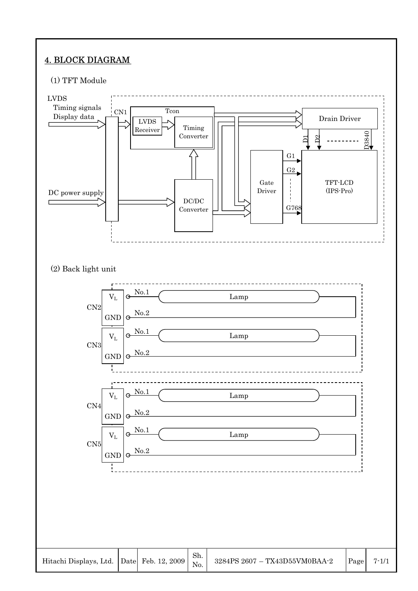## 4. BLOCK DIAGRAM

## (1) TFT Module

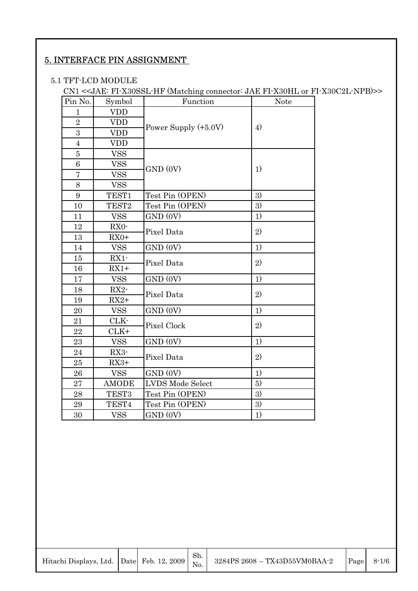## 5. INTERFACE PIN ASSIGNMENT

#### 5.1 TFT-LCD MODULE

CN1 <<JAE: FI-X30SSL-HF (Matching connector: JAE FI-X30HL or FI-X30C2L-NPB)>>

| Pin No.        | Symbol            | Function               | Note              |
|----------------|-------------------|------------------------|-------------------|
| $\mathbf{1}$   | <b>VDD</b>        |                        |                   |
| $\overline{2}$ | <b>VDD</b>        | Power Supply $(+5.0V)$ | $\left( 4\right)$ |
| 3              | <b>VDD</b>        |                        |                   |
| $\overline{4}$ | <b>VDD</b>        |                        |                   |
| $\overline{5}$ | <b>VSS</b>        |                        |                   |
| 6              | <b>VSS</b>        | GND (0V)               | 1)                |
| $\overline{7}$ | <b>VSS</b>        |                        |                   |
| 8              | <b>VSS</b>        |                        |                   |
| 9              | TEST1             | Test Pin (OPEN)        | 3)                |
| 10             | TEST <sub>2</sub> | Test Pin (OPEN)        | 3)                |
| 11             | <b>VSS</b>        | GND (0V)               | 1)                |
| 12             | RX0-              | Pixel Data             | 2)                |
| 13             | $RX0+$            |                        |                   |
| 14             | <b>VSS</b>        | GND (0V)               | 1)                |
| 15             | RX1-              | Pixel Data             | 2)                |
| 16             | $RX1+$            |                        |                   |
| 17             | <b>VSS</b>        | GND (0V)               | 1)                |
| 18             | RX2-              | Pixel Data             | 2)                |
| 19             | $RX2+$            |                        |                   |
| 20             | <b>VSS</b>        | GND (0V)               | 1)                |
| 21             | CLK-              | Pixel Clock            | 2)                |
| 22             | $CLK+$            |                        |                   |
| 23             | <b>VSS</b>        | GND (0V)               | 1)                |
| 24             | RX3-              | Pixel Data             | 2)                |
| 25             | $RX3+$            |                        |                   |
| 26             | <b>VSS</b>        | GND (0V)               | 1)                |
| 27             | <b>AMODE</b>      | LVDS Mode Select       | 5)                |
| 28             | TEST <sub>3</sub> | Test Pin (OPEN)        | 3)                |
| 29             | TEST4             | Test Pin (OPEN)        | 3)                |
| 30             | <b>VSS</b>        | GND (0V)               | 1)                |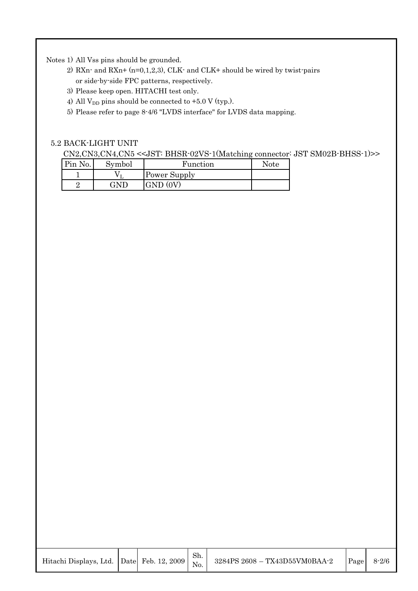Notes 1) All Vss pins should be grounded.

- 2) RXn- and RXn+  $(n=0,1,2,3)$ , CLK- and CLK+ should be wired by twist-pairs or side-by-side FPC patterns, respectively.
- 3) Please keep open. HITACHI test only.
- 4) All  $V_{DD}$  pins should be connected to +5.0 V (typ.).
- 5) Please refer to page 8-4/6 "LVDS interface" for LVDS data mapping.

#### 5.2 BACK-LIGHT UNIT

CN2,CN3,CN4,CN5 <<JST: BHSR-02VS-1(Matching connector: JST SM02B-BHSS-1)>>

| Pin No. | Symbol     | Function     | <b>Note</b> |
|---------|------------|--------------|-------------|
|         |            | Power Supply |             |
|         | $\sqrt{N}$ | <b>GND</b>   |             |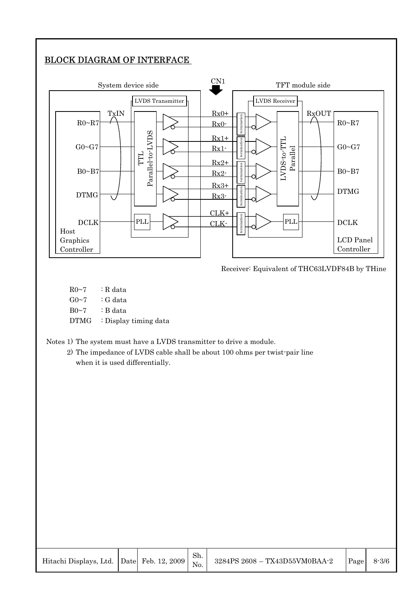## BLOCK DIAGRAM OF INTERFACE



Receiver: Equivalent of THC63LVDF84B by THine

 $R0~7$  : R data  $G0~7$  : G data B0~7 : B data DTMG : Display timing data

Notes 1) The system must have a LVDS transmitter to drive a module.

2) The impedance of LVDS cable shall be about 100 ohms per twist-pair line when it is used differentially.

| Hitachi Displays, Ltd. Date Feb. 12, 2009 $\begin{vmatrix} \Sigma_{11} & \Sigma_{12} \\ \Sigma_{21} & \Sigma_{22} \end{vmatrix}$ |  | Sh. | 3284PS 2608 - TX43D55VM0BAA-2 | Page | $8 - 3/6$ |
|----------------------------------------------------------------------------------------------------------------------------------|--|-----|-------------------------------|------|-----------|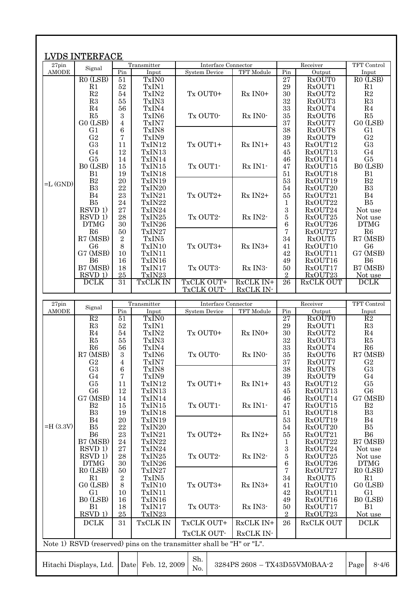|                | <b>LVDS INTERFACE</b>             |                        |                   |                                                                      |                               |                      |                                 |                                   |
|----------------|-----------------------------------|------------------------|-------------------|----------------------------------------------------------------------|-------------------------------|----------------------|---------------------------------|-----------------------------------|
| 27pin          |                                   |                        | Transmitter       | Interface Connector                                                  |                               |                      | Receiver                        | TFT Control                       |
| <b>AMODE</b>   | Signal                            | Pin                    | Input             | <b>System Device</b>                                                 | TFT Module                    | Pin                  | Output                          | Input                             |
|                | R <sub>0</sub> (LS <sub>B</sub> ) | 51                     | TxIN <sub>0</sub> |                                                                      |                               | 27                   | <b>RxOUT0</b>                   | $RO$ (LSB)                        |
|                | R1                                | 52                     | TxIN1             |                                                                      |                               | $\,29$               | RxOUT1                          | R1                                |
|                | R2                                | 54                     | TxIN2             | Tx OUT0+                                                             | $Rx$ IN0+                     | 30                   | RxOUT2                          | $\mathbf{R}2$                     |
|                | R3                                | 55                     | TxIN3             |                                                                      |                               | 32                   | RxOUT3                          | R3                                |
|                | R <sub>4</sub><br>R5              | 56<br>$\boldsymbol{3}$ | TxIN4<br>TxIN6    | Tx OUT0-                                                             | Rx INO-                       | 33<br>35             | RxOUT4<br>RxOUT6                | R <sub>4</sub><br>R5              |
|                | $GO$ (LSB)                        | 4                      | TxIN7             |                                                                      |                               | 37                   | RxOUT7                          | $GO$ $(LSB)$                      |
|                | G <sub>1</sub>                    | 6                      | TxIN8             |                                                                      |                               | 38                   | RxOUT8                          | G <sub>1</sub>                    |
|                | G <sub>2</sub>                    | 7                      | TxIN9             |                                                                      |                               | 39                   | RxOUT9                          | G <sub>2</sub>                    |
|                | G <sub>3</sub>                    | 11                     | TxIN12            | Tx OUT1+                                                             | $Rx IN1+$                     | 43                   | RxOUT12                         | G <sub>3</sub>                    |
|                | G <sub>4</sub>                    | 12                     | TxIN13            |                                                                      |                               | 45                   | RxOUT13                         | G <sub>4</sub>                    |
|                | G5                                | 14                     | TxIN14            |                                                                      |                               | 46                   | RxOUT14                         | G5                                |
|                | B <sub>0</sub> (LSB)              | 15                     | TxIN15            | Tx OUT1-                                                             | $Rx$ IN1 $-$                  | 47                   | RxOUT15                         | B <sub>0</sub> (LSB)              |
|                | B1                                | 19                     | TxIN18            |                                                                      |                               | 51                   | RxOUT18                         | B1                                |
| $=L$ (GND)     | $\mathbf{B}2$                     | 20                     | TxIN19            |                                                                      |                               | 53                   | RxOUT19                         | $\mathbf{B}2$                     |
|                | B <sub>3</sub>                    | 22                     | TxIN20            |                                                                      |                               | 54                   | RxOUT20                         | B <sub>3</sub>                    |
|                | B <sub>4</sub>                    | 23                     | TxIN21            | Tx OUT2+                                                             | $Rx IN2+$                     | 55                   | RxOUT21                         | B4                                |
|                | B <sub>5</sub>                    | 24                     | TxIN22            |                                                                      |                               | 1                    | RxOUT22                         | B5                                |
|                | RSVD 1)                           | 27                     | TxIN24            |                                                                      |                               | 3                    | RxOUT24                         | Not use                           |
|                | RSVD 1)                           | 28                     | TxIN25            | Tx OUT2-                                                             | $Rx$ IN2-                     | 5                    | RxOUT25                         | Not use                           |
|                | <b>DTMG</b>                       | 30                     | TxIN26            |                                                                      |                               | $\,6\,$              | RxOUT26                         | <b>DTMG</b>                       |
|                | R <sub>6</sub>                    | 50                     | TxIN27            |                                                                      |                               | 7                    | RxOUT27                         | R6                                |
|                | R7 (MSB)                          | $\sqrt{2}$             | TxIN5             |                                                                      |                               | 34                   | RxOUT5                          | R7 (MSB)                          |
|                | G <sub>6</sub>                    | 8                      | TxIN10            | Tx OUT3+                                                             | Rx IN3+                       | 41                   | RxOUT10                         | G <sub>6</sub>                    |
|                | $G7$ (MSB)                        | 10                     | TxIN11            |                                                                      |                               | 42                   | RxOUT11                         | G7 (MSB)                          |
|                | B <sub>6</sub><br>B7 (MSB)        | 16                     | TxIN16<br>TxIN17  | Tx OUT3-                                                             |                               | 49                   | RxOUT16                         | <b>B6</b><br>B7 (MSB)             |
|                | $RSVD$ 1)                         | 18<br>25               | TxIN23            |                                                                      | Rx IN3-                       | 50<br>$\overline{2}$ | RxOUT17<br>RxOUT23              |                                   |
|                | <b>DCLK</b>                       | 31                     | TxCLK IN          | TxCLK OUT+                                                           | RxCLK IN+                     | 26                   | <b>RxCLK OUT</b>                | Not use<br><b>DCLK</b>            |
|                |                                   |                        |                   | TxCLK OUT-                                                           | RxCLK IN-                     |                      |                                 |                                   |
| 27pin          |                                   |                        | Transmitter       | Interface Connector                                                  |                               |                      | Receiver                        | TFT Control                       |
| <b>AMODE</b>   | Signal                            | Pin                    | Input             | <b>System Device</b>                                                 | TFT Module                    | Pin                  | Output                          | Input                             |
|                | R2                                | 51                     | TxIN <sub>0</sub> |                                                                      |                               | $\overline{27}$      | RxOUT0                          | R2                                |
|                | R3                                | 52                     | TxIN1             |                                                                      |                               | 29                   | RxOUT1                          | R3                                |
|                | R <sub>4</sub>                    | 54                     | TxIN2             | Tx OUT0+                                                             | $Rx$ IN <sub>0</sub> +        | 30                   | RxOUT2                          | R <sub>4</sub>                    |
|                | R5                                | 55                     | TxIN3             |                                                                      |                               | 32                   | RxOUT3                          | R5                                |
|                | R <sub>6</sub>                    | 56                     | TxIN4             |                                                                      |                               | 33                   | RxOUT4                          | R6                                |
|                | R7 (MSB)                          | $\rm 3$                | TxIN6             | Tx OUT0-                                                             | Rx INO-                       | $35\,$<br>37         | R <sub>x</sub> OUT <sub>6</sub> | R7 (MSB)                          |
|                | G <sub>2</sub>                    | 4                      | TxIN7             |                                                                      |                               |                      | RxOUT7                          |                                   |
|                |                                   |                        |                   |                                                                      |                               |                      |                                 | G <sub>2</sub>                    |
|                | G <sub>3</sub>                    | $\,6$                  | TxIN8             |                                                                      |                               | 38                   | RxOUT8                          | G <sub>3</sub>                    |
|                | G <sub>4</sub>                    | 7                      | TxIN9             |                                                                      |                               | 39                   | RxOUT9                          | G <sub>4</sub>                    |
|                | G5                                | 11                     | TxIN12            | Tx OUT1+                                                             | $Rx IN1+$                     | 43                   | RxOUT12                         | G5                                |
|                | G <sub>6</sub>                    | 12                     | TxIN13            |                                                                      |                               | 45                   | RxOUT13                         | G <sub>6</sub>                    |
|                | G7 (MSB)                          | 14                     | TxIN14            |                                                                      |                               | 46                   | RxOUT14                         | G7 (MSB)                          |
|                | B <sub>2</sub>                    | 15                     | TxIN15            | Tx OUT1-                                                             | Rx IN1-                       | 47                   | RxOUT15                         | $\mathbf{B}2$                     |
|                | B <sub>3</sub>                    | 19                     | TxIN18            |                                                                      |                               | 51                   | RxOUT18                         | B <sub>3</sub>                    |
| $=$ H $(3.3V)$ | B <sub>4</sub>                    | 20                     | TxIN19            |                                                                      |                               | 53                   | RxOUT19                         | B <sub>4</sub>                    |
|                | B5                                | 22                     | TxIN20            |                                                                      |                               | 54                   | RxOUT20<br>RxOUT21              | B5                                |
|                | B <sub>6</sub>                    | $\bf 23$<br>24         | TxIN21            | Tx OUT2+                                                             | $Rx IN2+$                     | $55\,$<br>1          |                                 | B <sub>6</sub><br>B7 (MSB)        |
|                | B7 (MSB)<br>RSVD 1)               | $\sqrt{27}$            | TxIN22<br>TxIN24  |                                                                      |                               |                      | RxOUT22<br>RxOUT24              | Not use                           |
|                | RSVD 1)                           | 28                     | TxIN25            | Tx OUT2-                                                             | Rx IN2-                       | $\,3$<br>5           | RxOUT25                         | Not use                           |
|                | <b>DTMG</b>                       | $30\,$                 | TxIN26            |                                                                      |                               | 6                    | RxOUT26                         | <b>DTMG</b>                       |
|                | R <sub>0</sub> (LS <sub>B</sub> ) | $50\,$                 | TxIN27            |                                                                      |                               | 7                    | RxOUT27                         | R <sub>0</sub> (LS <sub>B</sub> ) |
|                | R1                                | $\,2$                  | TxIN5             |                                                                      |                               | 34                   | RxOUT5                          | R1                                |
|                | $GO$ (LSB)                        | $8\,$                  | TxIN10            | Tx OUT3+                                                             | Rx IN3+                       | 41                   | RxOUT10                         | GO (LSB)                          |
|                | G <sub>1</sub>                    | 10                     | TxIN11            |                                                                      |                               | 42                   | RxOUT11                         | G <sub>1</sub>                    |
|                | B0 (LSB)                          | 16                     | TxIN16            |                                                                      |                               | 49                   | RxOUT16                         | B0 (LSB)                          |
|                | B1                                | 18                     | TxIN17            | Tx OUT3-                                                             | Rx IN3-                       | 50                   | RxOUT17                         | B1                                |
|                | RSVD 1)                           | 25                     | TxIN23            |                                                                      |                               | $\boldsymbol{2}$     | RxOUT23                         | Not use                           |
|                | <b>DCLK</b>                       | 31                     | TxCLK IN          | TxCLK OUT+                                                           | RxCLK IN+                     | 26                   | RxCLK OUT                       | <b>DCLK</b>                       |
|                |                                   |                        |                   | TxCLK OUT-                                                           | RxCLK IN-                     |                      |                                 |                                   |
|                |                                   |                        |                   | Note 1) RSVD (reserved) pins on the transmitter shall be "H" or "L". |                               |                      |                                 |                                   |
|                | Hitachi Displays, Ltd.            | Date                   | Feb. 12, 2009     | Sh.<br>No.                                                           | 3284PS 2608 - TX43D55VM0BAA-2 |                      |                                 | Page<br>$8 - 4/6$                 |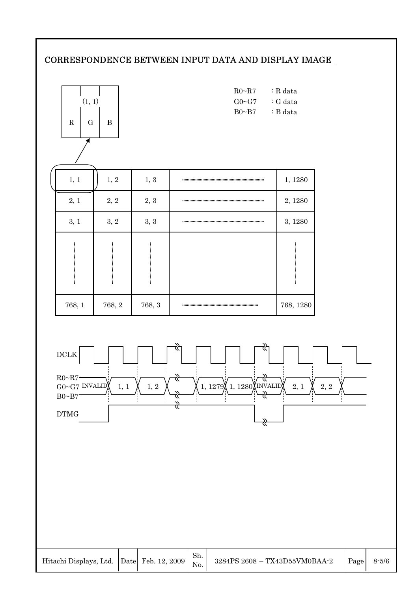## CORRESPONDENCE BETWEEN INPUT DATA AND DISPLAY IMAGE

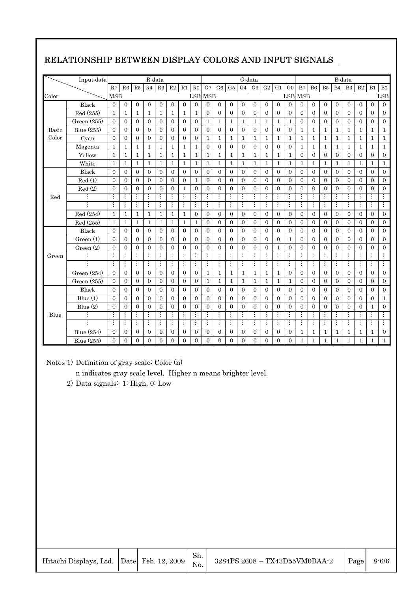|       | Input data    |                |                  |                | R data         |                |                  |                |                |                  |                  |                  |                | G data         |                  |                  |                  |                |                  |                  |                | B data           |                |                  |                |
|-------|---------------|----------------|------------------|----------------|----------------|----------------|------------------|----------------|----------------|------------------|------------------|------------------|----------------|----------------|------------------|------------------|------------------|----------------|------------------|------------------|----------------|------------------|----------------|------------------|----------------|
|       |               | R7             | R6               | R5             | R <sub>4</sub> | R3             | R2               | R1             | R <sub>0</sub> | G7               | G <sub>6</sub>   | G <sub>5</sub>   | G <sub>4</sub> | G3             | G2               | G1               | G <sub>0</sub>   | B7             | <b>B6</b>        | B <sub>5</sub>   | B <sub>4</sub> | B <sub>3</sub>   | B <sub>2</sub> | B1               | B <sub>0</sub> |
| Color |               | <b>MSB</b>     |                  |                |                |                |                  |                | <b>LSB</b> MSB |                  |                  |                  |                |                |                  |                  |                  | <b>LSB</b> MSB |                  |                  |                |                  |                |                  | <b>LSB</b>     |
|       | Black         | $\Omega$       | $\mathbf{0}$     | $\mathbf{0}$   | $\mathbf{0}$   | $\overline{0}$ | $\overline{0}$   | $\overline{0}$ | $\Omega$       | $\overline{0}$   | $\overline{0}$   | $\overline{0}$   | $\overline{0}$ | $\overline{0}$ | $\overline{0}$   | $\overline{0}$   | $\overline{0}$   | $\overline{0}$ | $\mathbf{0}$     | $\overline{0}$   | $\mathbf{0}$   | $\boldsymbol{0}$ | $\overline{0}$ | $\overline{0}$   | $\Omega$       |
|       | Red (255)     | 1              | 1                | $\mathbf{1}$   | $\mathbf{1}$   | 1              | 1                | 1              | 1              | $\overline{0}$   | $\boldsymbol{0}$ | $\overline{0}$   | $\mathbf{0}$   | $\overline{0}$ | $\boldsymbol{0}$ | $\overline{0}$   | $\boldsymbol{0}$ | $\overline{0}$ | $\overline{0}$   | $\overline{0}$   | $\mathbf{0}$   | $\overline{0}$   | $\mathbf{0}$   | $\overline{0}$   | $\overline{0}$ |
|       | Green $(255)$ | $\mathbf{0}$   | $\boldsymbol{0}$ | $\theta$       | $\mathbf{0}$   | $\mathbf{0}$   | $\boldsymbol{0}$ | $\mathbf{0}$   | $\overline{0}$ | 1                | 1                | $\mathbf{1}$     | $\mathbf 1$    | 1              | $\mathbf{1}$     | $\mathbf 1$      | $\mathbf{1}$     | $\mathbf{0}$   | $\mathbf{0}$     | $\boldsymbol{0}$ | $\overline{0}$ | $\boldsymbol{0}$ | $\mathbf{0}$   | $\boldsymbol{0}$ | $\overline{0}$ |
| Basic | Blue (255)    | $\Omega$       | $\overline{0}$   | $\overline{0}$ | $\Omega$       | $\overline{0}$ | $\overline{0}$   | $\overline{0}$ | $\theta$       | $\overline{0}$   | $\overline{0}$   | $\mathbf{0}$     | $\overline{0}$ | $\overline{0}$ | $\overline{0}$   | $\overline{0}$   | $\overline{0}$   | $\mathbf{1}$   | $\mathbf{1}$     | $\mathbf{1}$     | $\mathbf{1}$   | 1                | $\mathbf{1}$   | $\mathbf{1}$     | $\mathbf{1}$   |
| Color | Cyan          | $\Omega$       | $\mathbf{0}$     | $\Omega$       | $\mathbf{0}$   | $\Omega$       | $\overline{0}$   | $\mathbf{0}$   | $\overline{0}$ | 1                | 1                | $\mathbf{1}$     | $\mathbf{1}$   | 1              | 1                | 1                | 1                | 1              | 1                | 1                | $\mathbf{1}$   | 1                | $\mathbf{1}$   | 1                | $\mathbf{1}$   |
|       | Magenta       | $\mathbf{1}$   | $\mathbf{1}$     | $\mathbf{1}$   | $\mathbf{1}$   | $\mathbf{1}$   | $\mathbf{1}$     | $\mathbf{1}$   | 1              | $\overline{0}$   | $\overline{0}$   | $\overline{0}$   | $\overline{0}$ | $\overline{0}$ | $\overline{0}$   | $\overline{0}$   | $\overline{0}$   | $\mathbf{1}$   | $\mathbf{1}$     | $\mathbf{1}$     | $\mathbf{1}$   | 1                | $\mathbf{1}$   | $\mathbf{1}$     | $\mathbf{1}$   |
|       | Yellow        | $\mathbf{1}$   | $\mathbf{1}$     | $\mathbf{1}$   | $\mathbf{1}$   | $\mathbf{1}$   | $\mathbf{1}$     | $\mathbf{1}$   | $\mathbf 1$    | 1                | 1                | $\mathbf{1}$     | $\mathbf{1}$   | $\mathbf{1}$   | $\mathbf{1}$     | $\mathbf 1$      | $\mathbf{1}$     | $\overline{0}$ | $\overline{0}$   | $\overline{0}$   | $\overline{0}$ | $\overline{0}$   | $\mathbf{0}$   | $\overline{0}$   | $\overline{0}$ |
|       | White         | $\mathbf{1}$   | $\mathbf{1}$     | $\mathbf{1}$   | $\mathbf{1}$   | $\mathbf{1}$   | $\mathbf{1}$     | $\mathbf{1}$   | 1              | 1                | 1                | $\mathbf{1}$     | $\mathbf{1}$   | $\mathbf{1}$   | $\mathbf{1}$     | $\mathbf 1$      | $\mathbf 1$      | 1              | $\mathbf{1}$     | $\mathbf{1}$     | $\mathbf{1}$   | 1                | $\mathbf{1}$   | $\mathbf{1}$     | $\mathbf{1}$   |
|       | Black         | $\Omega$       | $\mathbf{0}$     | $\Omega$       | $\mathbf{0}$   | $\Omega$       | $\overline{0}$   | $\overline{0}$ | $\mathbf{0}$   | $\overline{0}$   | $\overline{0}$   | $\mathbf{0}$     | $\mathbf{0}$   | $\overline{0}$ | $\boldsymbol{0}$ | $\overline{0}$   | $\mathbf{0}$     | $\overline{0}$ | $\mathbf{0}$     | $\overline{0}$   | $\mathbf{0}$   | $\overline{0}$   | $\mathbf{0}$   | $\overline{0}$   | $\overline{0}$ |
|       | Red(1)        | $\Omega$       | $\Omega$         | $\theta$       | $\Omega$       | $\Omega$       | $\overline{0}$   | $\mathbf{0}$   | $\mathbf{1}$   | $\overline{0}$   | $\overline{0}$   | $\mathbf{0}$     | $\theta$       | $\overline{0}$ | $\overline{0}$   | $\overline{0}$   | $\Omega$         | $\overline{0}$ | $\mathbf{0}$     | $\overline{0}$   | $\Omega$       | $\theta$         | $\Omega$       | $\theta$         | $\overline{0}$ |
|       | Red(2)        | $\overline{0}$ | $\overline{0}$   | $\overline{0}$ | $\overline{0}$ | $\overline{0}$ | $\overline{0}$   | $\mathbf 1$    | $\overline{0}$ | $\overline{0}$   | $\overline{0}$   | $\boldsymbol{0}$ | $\overline{0}$ | $\overline{0}$ | $\boldsymbol{0}$ | $\boldsymbol{0}$ | $\boldsymbol{0}$ | $\overline{0}$ | $\boldsymbol{0}$ | $\overline{0}$   | $\overline{0}$ | $\boldsymbol{0}$ | $\overline{0}$ | $\overline{0}$   | $\overline{0}$ |
| Red   |               |                |                  | $\vdots$       | $\vdots$       |                | $\vdots$         | $\vdots$       | $\vdots$       | $\vdots$         | $\vdots$         | $\vdots$         | $\vdots$       |                | $\vdots$         |                  | $\vdots$         |                |                  |                  |                |                  |                |                  | $\vdots$       |
|       | ÷             | $\vdots$       | $\vdots$         | ÷              | $\vdots$       | $\vdots$       | $\vdots$         | $\vdots$       | $\vdots$       | $\vdots$         | $\vdots$         | $\vdots$         | $\vdots$       | $\vdots$       | $\vdots$         | ÷                | $\vdots$         | $\vdots$       | $\vdots$         | $\vdots$         | ÷              |                  | ÷              |                  | $\vdots$       |
|       | Red (254)     | $\mathbf{1}$   | $\mathbf{1}$     | $\mathbf{1}$   | $\mathbf{1}$   | $\mathbf{1}$   | $\mathbf{1}$     | $\mathbf{1}$   | $\overline{0}$ | $\overline{0}$   | $\overline{0}$   | $\mathbf{0}$     | $\overline{0}$ | $\mathbf{0}$   | $\overline{0}$   | $\overline{0}$   | $\overline{0}$   | $\overline{0}$ | $\overline{0}$   | $\overline{0}$   | $\overline{0}$ | $\theta$         | $\overline{0}$ | $\theta$         | $\Omega$       |
|       | Red (255)     | $\mathbf{1}$   | $\mathbf{1}$     | $\mathbf{1}$   | $\mathbf{1}$   | $\mathbf{1}$   | $\mathbf{1}$     | $\mathbf{1}$   | $\mathbf{1}$   | $\boldsymbol{0}$ | $\mathbf{0}$     | $\mathbf{0}$     | $\overline{0}$ | $\mathbf{0}$   | $\boldsymbol{0}$ | $\boldsymbol{0}$ | $\mathbf{0}$     | $\mathbf{0}$   | $\mathbf{0}$     | $\boldsymbol{0}$ | $\overline{0}$ | $\boldsymbol{0}$ | $\mathbf{0}$   | $\overline{0}$   | $\overline{0}$ |
|       | Black         | $\Omega$       | $\mathbf{0}$     | $\overline{0}$ | $\mathbf{0}$   | $\overline{0}$ | $\overline{0}$   | $\overline{0}$ | $\overline{0}$ | $\overline{0}$   | $\boldsymbol{0}$ | $\boldsymbol{0}$ | $\overline{0}$ | $\overline{0}$ | $\boldsymbol{0}$ | $\overline{0}$   | $\boldsymbol{0}$ | $\overline{0}$ | $\overline{0}$   | $\overline{0}$   | $\overline{0}$ | $\mathbf{0}$     | $\overline{0}$ | $\overline{0}$   | $\overline{0}$ |
|       | Green(1)      | $\Omega$       | $\mathbf{0}$     | $\theta$       | $\mathbf{0}$   | $\overline{0}$ | $\overline{0}$   | $\mathbf{0}$   | $\Omega$       | $\overline{0}$   | $\overline{0}$   | $\mathbf{0}$     | $\overline{0}$ | $\mathbf{0}$   | $\overline{0}$   | $\overline{0}$   | $\mathbf{1}$     | $\overline{0}$ | $\mathbf{0}$     | $\overline{0}$   | $\Omega$       | $\theta$         | $\overline{0}$ | $\theta$         | $\overline{0}$ |
|       | Green (2)     | $\Omega$       | $\mathbf{0}$     | $\Omega$       | $\Omega$       | $\overline{0}$ | $\overline{0}$   | $\Omega$       | $\Omega$       | $\Omega$         | $\overline{0}$   | $\overline{0}$   | $\overline{0}$ | $\Omega$       | $\overline{0}$   | 1                | $\overline{0}$   | $\overline{0}$ | $\mathbf{0}$     | $\Omega$         | $\overline{0}$ | $\theta$         | $\overline{0}$ | $\overline{0}$   | $\overline{0}$ |
| Green |               | ÷              | $\vdots$         | ÷              | $\vdots$       | $\vdots$       | $\vdots$         | $\vdots$       | $\vdots$       | $\vdots$         | $\vdots$         | $\vdots$         | ÷              | $\vdots$       | ÷                | $\vdots$         | $\vdots$         | $\vdots$       | $\vdots$         | $\vdots$         | $\vdots$       |                  | $\vdots$       | $\vdots$         | $\vdots$       |
|       | ÷             | ÷              | $\vdots$         | ÷              | $\vdots$       | $\vdots$       | $\vdots$         | $\vdots$       | $\vdots$       | $\vdots$         | $\vdots$         | $\vdots$         | $\vdots$       | $\vdots$       | ÷                | $\vdots$         | ÷                | $\vdots$       | ÷                | $\vdots$         | ÷              | $\vdots$         | ÷              | $\vdots$         | ÷              |
|       | Green $(254)$ | $\Omega$       | $\mathbf{0}$     | $\overline{0}$ | $\overline{0}$ | $\overline{0}$ | $\overline{0}$   | $\overline{0}$ | $\overline{0}$ | $\mathbf{1}$     | $\mathbf{1}$     | $\mathbf{1}$     | $\mathbf{1}$   | $\mathbf{1}$   | $\mathbf{1}$     | $\mathbf{1}$     | $\overline{0}$   | $\overline{0}$ | $\overline{0}$   | $\overline{0}$   | $\overline{0}$ | $\overline{0}$   | $\overline{0}$ | $\overline{0}$   | $\overline{0}$ |
|       | Green (255)   | $\Omega$       | $\mathbf{0}$     | $\Omega$       | $\mathbf{0}$   | $\Omega$       | $\overline{0}$   | $\overline{0}$ | $\mathbf{0}$   | $\mathbf{1}$     | 1                | $\mathbf{1}$     | $\mathbf{1}$   | $\mathbf{1}$   | $\mathbf{1}$     | $\mathbf{1}$     | $\mathbf{1}$     | $\overline{0}$ | $\mathbf{0}$     | $\overline{0}$   | $\mathbf{0}$   | $\mathbf{0}$     | $\mathbf{0}$   | $\Omega$         | $\overline{0}$ |
|       | Black         | $\Omega$       | $\overline{0}$   | $\theta$       | $\overline{0}$ | $\overline{0}$ | $\overline{0}$   | $\mathbf{0}$   | $\overline{0}$ | $\overline{0}$   | $\overline{0}$   | $\overline{0}$   | $\overline{0}$ | $\overline{0}$ | $\overline{0}$   | $\overline{0}$   | $\overline{0}$   | $\overline{0}$ | $\mathbf{0}$     | $\mathbf{0}$     | $\overline{0}$ | $\boldsymbol{0}$ | $\overline{0}$ | $\mathbf{0}$     | $\overline{0}$ |
|       | Blue(1)       | $\overline{0}$ | $\mathbf{0}$     | $\overline{0}$ | $\mathbf{0}$   | $\overline{0}$ | $\overline{0}$   | $\overline{0}$ | $\overline{0}$ | $\overline{0}$   | $\overline{0}$   | $\overline{0}$   | $\overline{0}$ | $\overline{0}$ | $\overline{0}$   | $\overline{0}$   | $\overline{0}$   | $\overline{0}$ | $\overline{0}$   | $\overline{0}$   | $\overline{0}$ | $\theta$         | $\overline{0}$ | $\theta$         | $\mathbf{1}$   |
|       | Blue (2)      | $\mathbf{0}$   | $\mathbf{0}$     | $\overline{0}$ | $\mathbf{0}$   | $\overline{0}$ | $\overline{0}$   | $\overline{0}$ | $\overline{0}$ | $\overline{0}$   | $\overline{0}$   | $\overline{0}$   | $\overline{0}$ | $\overline{0}$ | $\overline{0}$   | $\overline{0}$   | $\overline{0}$   | $\overline{0}$ | $\overline{0}$   | $\overline{0}$   | $\overline{0}$ | $\overline{0}$   | $\mathbf{0}$   | 1                | $\overline{0}$ |
| Blue  |               | ÷              | ÷                | ÷              | ÷              | $\vdots$       | $\vdots$         | $\vdots$       | ÷              | $\vdots$         | ÷                | $\vdots$         | ÷              | $\vdots$       | ÷                | ÷                | $\vdots$         | $\vdots$       | $\vdots$         | $\vdots$         | $\vdots$       | $\vdots$         | ÷              |                  | ÷              |
|       | ÷             | $\vdots$       | $\vdots$         | $\vdots$       | Ţ              | $\vdots$       | Ξ                | $\vdots$       | Ξ              | $\vdots$         | $\vdots$         | $\vdots$         | $\vdots$       | $\vdots$       | $\vdots$         | $\vdots$         | $\vdots$         | $\vdots$       | $\vdots$         | $\vdots$         | $\vdots$       | $\vdots$         | $\vdots$       | $\vdots$         | $\vdots$       |
|       | Blue (254)    | $\mathbf{0}$   | $\mathbf{0}$     | $\theta$       | $\mathbf{0}$   | $\mathbf{0}$   | $\mathbf{0}$     | $\overline{0}$ | $\overline{0}$ | $\overline{0}$   | $\boldsymbol{0}$ | $\mathbf{0}$     | $\overline{0}$ | $\mathbf{0}$   | $\boldsymbol{0}$ | $\overline{0}$   | $\mathbf{0}$     | 1              | 1                | 1                | 1              | 1                | 1              | 1                | $\overline{0}$ |
|       | Blue (255)    | $\theta$       | $\theta$         | $\theta$       | $\Omega$       | $\theta$       | $\theta$         | $\theta$       | $\theta$       | $\theta$         | $\overline{0}$   | $\Omega$         | $\Omega$       | $\Omega$       | $\overline{0}$   | $\theta$         | $\Omega$         | $\mathbf{1}$   | $\mathbf{1}$     | 1                | 1              | 1                | $\mathbf{1}$   | 1                | $\mathbf{1}$   |

## RELATIONSHIP BETWEEN DISPLAY COLORS AND INPUT SIGNALS

Notes 1) Definition of gray scale: Color (n)

n indicates gray scale level. Higher n means brighter level.

Sh. No.

2) Data signals: 1: High, 0: Low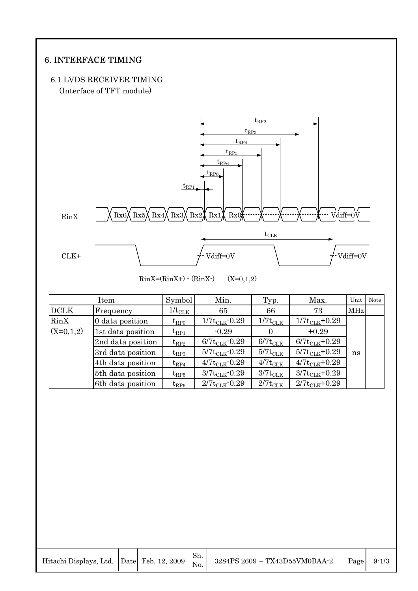## 6. INTERFACE TIMING

## 6.1 LVDS RECEIVER TIMING (Interface of TFT module)



 $\text{RinX}=(\text{RinX+}) \cdot (\text{RinX-})$  (X=0,1,2)

|             | Item              | Symbol             | Min.                      | Typ.                   | Max.                | Unit       | Note |
|-------------|-------------------|--------------------|---------------------------|------------------------|---------------------|------------|------|
| <b>DCLK</b> | Frequency         | $1/t_{\rm CLK}$    | 65                        | 66                     | 73                  | <b>MHz</b> |      |
| RinX        | 0 data position   | ${\rm t_{RPO}}$    | $1/7t_{\text{CLK}}$ -0.29 | $1/7{\rm t}_{\rm CLK}$ | $1/7t_{CLK}+0.29$   |            |      |
| $(X=0,1,2)$ | 1st data position | ${\rm t_{RP1}}$    | $-0.29$                   | $\Omega$               | $+0.29$             |            |      |
|             | 2nd data position | ${\rm t_{RP2}}$    | $6/7t_{\text{CLK}}$ -0.29 | $6/7t_{CLK}$           | $6/7t_{CLK} + 0.29$ |            |      |
|             | 3rd data position | ${\rm t_{RP3}}$    | $5/7t_{\text{CLK}}$ -0.29 | $5/7t_{\text{CLK}}$    | $5/7t_{CLK} + 0.29$ | ns         |      |
|             | 4th data position | ${\rm t_{RP4}}$    | $4/7t_{\text{CLK}}$ -0.29 | $4/7t_{\text{CLK}}$    | $4/7t_{CLK}+0.29$   |            |      |
|             | 5th data position | $\mathrm{t_{RP5}}$ | $3/7t_{\text{CLK}}$ -0.29 | $3/7t_{CLK}$           | $3/7t_{CLK}+0.29$   |            |      |
|             | 6th data position | ${\rm t_{RP6}}$    | $2/7t_{\text{CLK}}$ -0.29 | $2/7t_{CLK}$           | $2/7t_{CLK}+0.29$   |            |      |

|  | Sh. | Hitachi Displays, Ltd. $\left  \right $ Date Feb. 12, 2009 $\left  \frac{\text{dn.}}{\text{No.}} \right $ 3284PS 2609 - TX43D55VM0BAA-2 | Page | $9 - 1/3$ |
|--|-----|-----------------------------------------------------------------------------------------------------------------------------------------|------|-----------|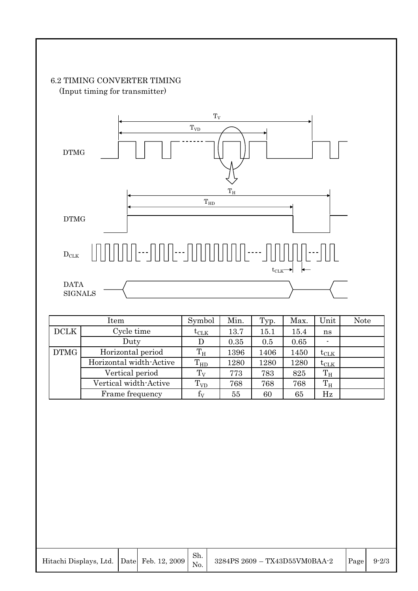## 6.2 TIMING CONVERTER TIMING (Input timing for transmitter)



|             | Item                    | Symbol                | Min. | Typ. | Max. | Unit          | <b>Note</b> |
|-------------|-------------------------|-----------------------|------|------|------|---------------|-------------|
| <b>DCLK</b> | Cycle time              | $\text{t}_\text{CLK}$ | 13.7 | 15.1 | 15.4 | ns            |             |
|             | Duty                    | I)                    | 0.35 | 0.5  | 0.65 |               |             |
| <b>DTMG</b> | Horizontal period       | $T_{\rm H}$           | 1396 | 1406 | 1450 | $t_{\rm CLK}$ |             |
|             | Horizontal width-Active | $T_{HD}$              | 1280 | 1280 | 1280 | $t_{\rm CLK}$ |             |
|             | Vertical period         | $T_V$                 | 773  | 783  | 825  | $T_{\rm H}$   |             |
|             | Vertical width-Active   | $T_{VD}$              | 768  | 768  | 768  | $T_{\rm H}$   |             |
|             | Frame frequency         | $\rm f_{\rm V}$       | 55   | 60   | 65   | Hz            |             |

|  | Hitachi Displays, Ltd. Da |  |
|--|---------------------------|--|
|--|---------------------------|--|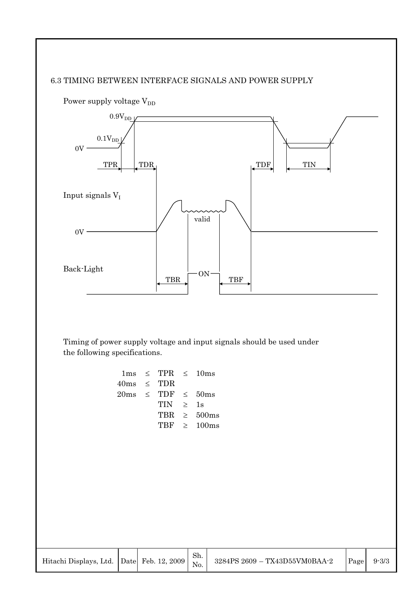## 6.3 TIMING BETWEEN INTERFACE SIGNALS AND POWER SUPPLY



Power supply voltage  $V_{DD}$ 

Timing of power supply voltage and input signals should be used under the following specifications.

|                 | $1 \text{ms} \leq \text{TPR} \leq 10 \text{ms}$ |                  |
|-----------------|-------------------------------------------------|------------------|
| $40ms \leq TDR$ |                                                 |                  |
|                 | $20\text{ms} \leq \text{TDF} \leq 50\text{ms}$  |                  |
|                 | TIN >                                           | 1s               |
|                 |                                                 | TBR $\geq$ 500ms |
|                 |                                                 | TBF $\geq$ 100ms |
|                 |                                                 |                  |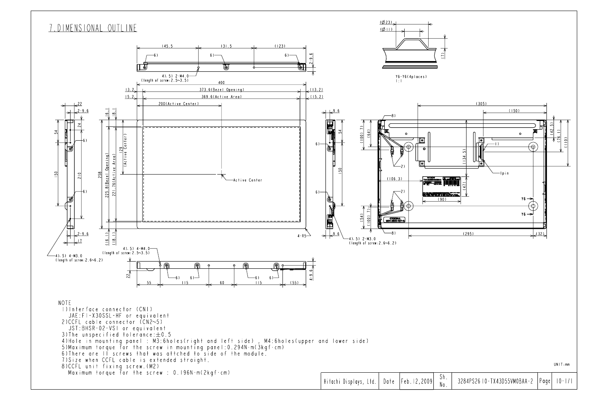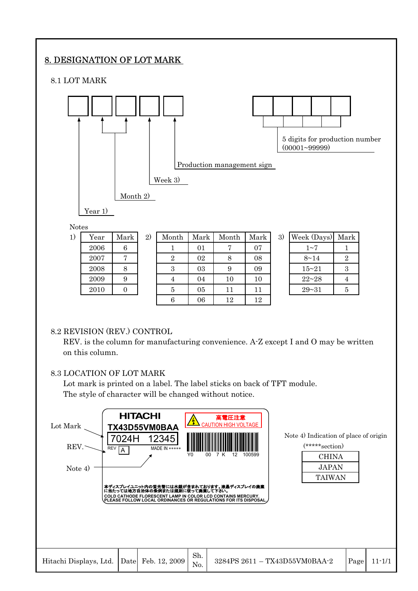## 8. DESIGNATION OF LOT MARK

8.1 LOT MARK



### 8.2 REVISION (REV.) CONTROL

REV. is the column for manufacturing convenience. A-Z except I and O may be written on this column.

6 06 12 12

#### 8.3 LOCATION OF LOT MARK

Lot mark is printed on a label. The label sticks on back of TFT module. The style of character will be changed without notice.

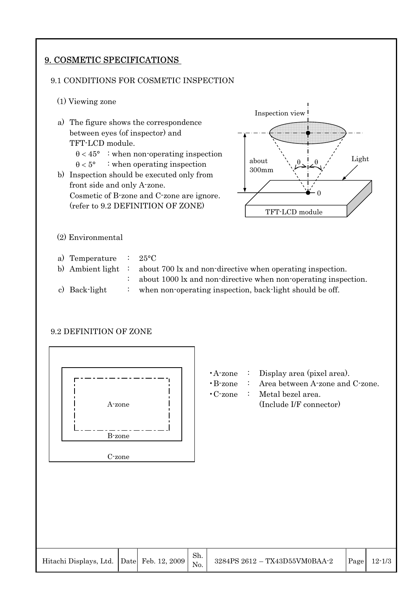## 9. COSMETIC SPECIFICATIONS

## 9.1 CONDITIONS FOR COSMETIC INSPECTION

- (1) Viewing zone
- a) The figure shows the correspondence between eyes (of inspector) and TFT-LCD module.  $\theta$  < 45° : when non-operating inspection  $\theta < 5^{\circ}$  : when operating inspection b) Inspection should be executed only from front side and only A-zone. Cosmetic of B-zone and C-zone are ignore. (refer to 9.2 DEFINITION OF ZONE) (2) Environmental a) Temperature : 25°C b) Ambient light : about 700 lx and non-directive when operating inspection. : about 1000 lx and non-directive when non-operating inspection. TFT-LCD module Inspection view  $\theta$ 0 about 300mm  $\theta$
- c) Back-light : when non-operating inspection, back-light should be off.

### 9.2 DEFINITION OF ZONE



- •A-zone : Display area (pixel area).
- •B-zone : Area between A-zone and C-zone.

Light

•C-zone : Metal bezel area. A-zone (Include I/F connector)

|  |  |  | Sh. | Hitachi Displays, Ltd. Date Feb. 12, 2009 $\begin{vmatrix} 500 & 3284\text{PS} & 2612 - TX43\text{D}55\text{V} \text{M}0\text{B}AA-2 \end{vmatrix}$ |  | $\vert$ Page $\vert$ 12-1/3 |
|--|--|--|-----|-----------------------------------------------------------------------------------------------------------------------------------------------------|--|-----------------------------|
|--|--|--|-----|-----------------------------------------------------------------------------------------------------------------------------------------------------|--|-----------------------------|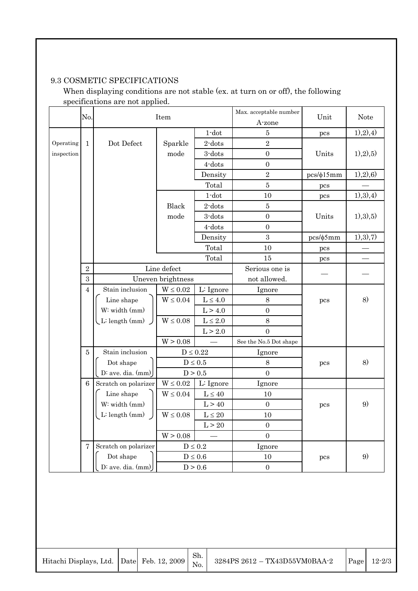## 9.3 COSMETIC SPECIFICATIONS

When displaying conditions are not stable (ex. at turn on or off), the following specifications are not applied.

|            |                |                          |                   |                       | Max. acceptable number |                |               |
|------------|----------------|--------------------------|-------------------|-----------------------|------------------------|----------------|---------------|
|            | No.            |                          | Item              |                       | A-zone                 | Unit           | <b>Note</b>   |
|            |                |                          |                   | $1$ -dot              | $\bf 5$                | pcs            | (1), 2), 4)   |
| Operating  | $\mathbf{1}$   | Dot Defect               | Sparkle           | $2$ -dots             | $\overline{2}$         |                |               |
| inspection |                |                          | mode              | 3-dots                | $\boldsymbol{0}$       | Units          | 1), 2), 5)    |
|            |                |                          |                   | $4$ -dots             | $\boldsymbol{0}$       |                |               |
|            |                |                          |                   | Density               | $\overline{2}$         | $pcs/\phi15mm$ | (1), 2), 6)   |
|            |                |                          |                   | Total                 | $\overline{5}$         | pcs            |               |
|            |                |                          |                   | $1$ -dot              | 10                     | pcs            | (1), (3), (4) |
|            |                |                          | Black             | $2$ -dots             | $\bf 5$                |                |               |
|            |                |                          | mode              | 3-dots                | $\boldsymbol{0}$       | Units          | 1), 3), 5)    |
|            |                |                          |                   | $4$ -dots             | $\boldsymbol{0}$       |                |               |
|            |                |                          |                   | Density               | 3                      | $pcs/\phi 5mm$ | 1), 3), 7)    |
|            |                |                          |                   | Total                 | 10                     | pcs            |               |
|            |                |                          |                   | Total                 | 15                     | pcs            |               |
|            | $\overline{2}$ |                          | Line defect       |                       | Serious one is         |                |               |
|            | 3              |                          | Uneven brightness |                       | not allowed.           |                |               |
|            | $\overline{4}$ | Stain inclusion          | $W\leq 0.02$      | L: Ignore             | Ignore                 |                |               |
|            |                | Line shape               | $W \leq 0.04$     | $L \leq 4.0$          | $\,8\,$                | pcs            | 8)            |
|            |                | W: width (mm)            |                   | L > 4.0               | $\overline{0}$         |                |               |
|            |                | $\bigcup$ L: length (mm) | $W \leq 0.08$     | $L \leq 2.0$          | 8                      |                |               |
|            |                |                          |                   | L > 2.0               | $\overline{0}$         |                |               |
|            |                |                          | W > 0.08          |                       | See the No.5 Dot shape |                |               |
|            | $\overline{5}$ | Stain inclusion          |                   | $D \leq 0.22$         | Ignore                 |                |               |
|            |                | Dot shape                |                   | $D\leq 0.5$           | $8\,$                  | pcs            | 8)            |
|            |                | D: ave. dia. $(mm)$      |                   | D > 0.5               | $\overline{0}$         |                |               |
|            | $6\phantom{.}$ | Scratch on polarizer     | $W \leq 0.02$     | L: Ignore             | Ignore                 |                |               |
|            |                | Line shape               | $W \leq 0.04$     | $L\leq 40$            | $10\,$                 |                |               |
|            |                | W: width (mm)            |                   | L > 40                | $\overline{0}$         | pcs            | 9)            |
|            |                | L: length (mm)           | $W \leq 0.08$     | $L\leq 20$            | 10                     |                |               |
|            |                |                          |                   | L > 20                | $\boldsymbol{0}$       |                |               |
|            |                |                          | W > 0.08          |                       | $\mathbf{0}$           |                |               |
|            | $\overline{7}$ | Scratch on polarizer     |                   | $D\leq 0.2$           | Ignore                 |                |               |
|            |                | Dot shape                |                   | $D\leq0.6$            | 10                     | pcs            | 9)            |
|            |                | D: ave. dia. (mm)        |                   | $\mathrm{D} \geq 0.6$ | $\boldsymbol{0}$       |                |               |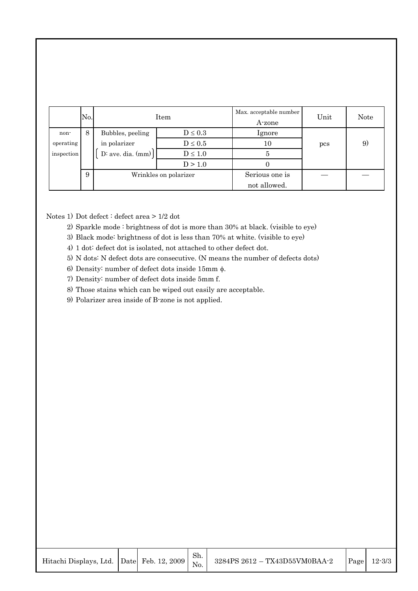|            | No. |                       | Item                  | Max. acceptable number<br>A-zone | Unit | <b>Note</b> |
|------------|-----|-----------------------|-----------------------|----------------------------------|------|-------------|
| non-       | 8   | Bubbles, peeling      | $D \leq 0.3$          | <i>lgnore</i>                    |      |             |
| operating  |     | in polarizer          | $D \leq 0.5$          | 10                               | pcs  | 9           |
| inspection |     | $D:$ ave. dia. $(mm)$ | $D\leq1.0$            |                                  |      |             |
|            |     |                       | D > 1.0               |                                  |      |             |
|            | 9   |                       | Wrinkles on polarizer | Serious one is                   |      |             |
|            |     |                       |                       | not allowed.                     |      |             |

Notes 1) Dot defect : defect area > 1/2 dot

- 2) Sparkle mode : brightness of dot is more than 30% at black. (visible to eye)
- 3) Black mode: brightness of dot is less than 70% at white. (visible to eye)
- 4) 1 dot: defect dot is isolated, not attached to other defect dot.
- 5) N dots: N defect dots are consecutive. (N means the number of defects dots)

Sh. No.

- 6) Density: number of defect dots inside 15mm  $\phi$ .
- 7) Density: number of defect dots inside 5mm f.
- 8) Those stains which can be wiped out easily are acceptable.
- 9) Polarizer area inside of B-zone is not applied.

| Hitachi Displays, Ltd. Date Feb. 12, |  |
|--------------------------------------|--|
|--------------------------------------|--|

 $\mathbf{I}$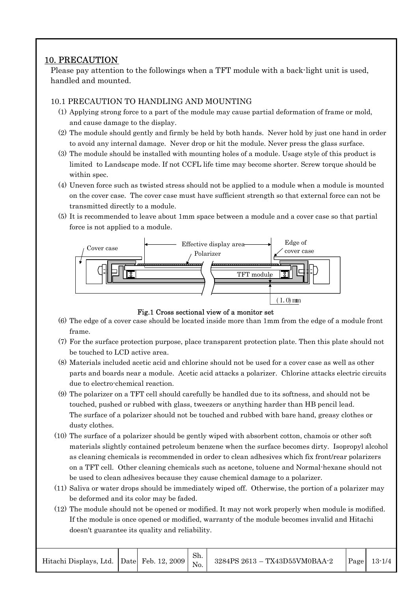## 10. PRECAUTION

Please pay attention to the followings when a TFT module with a back-light unit is used, handled and mounted.

### 10.1 PRECAUTION TO HANDLING AND MOUNTING

- (1) Applying strong force to a part of the module may cause partial deformation of frame or mold, and cause damage to the display.
- (2) The module should gently and firmly be held by both hands. Never hold by just one hand in order to avoid any internal damage. Never drop or hit the module. Never press the glass surface.
- (3) The module should be installed with mounting holes of a module. Usage style of this product is limited to Landscape mode. If not CCFL life time may become shorter. Screw torque should be within spec.
- (4) Uneven force such as twisted stress should not be applied to a module when a module is mounted on the cover case. The cover case must have sufficient strength so that external force can not be transmitted directly to a module.
- (5) It is recommended to leave about 1mm space between a module and a cover case so that partial force is not applied to a module.





- (6) The edge of a cover case should be located inside more than 1mm from the edge of a module front frame.
- (7) For the surface protection purpose, place transparent protection plate. Then this plate should not be touched to LCD active area.
- (8) Materials included acetic acid and chlorine should not be used for a cover case as well as other parts and boards near a module. Acetic acid attacks a polarizer. Chlorine attacks electric circuits due to electro-chemical reaction.
- (9) The polarizer on a TFT cell should carefully be handled due to its softness, and should not be touched, pushed or rubbed with glass, tweezers or anything harder than HB pencil lead. The surface of a polarizer should not be touched and rubbed with bare hand, greasy clothes or dusty clothes.
- (10) The surface of a polarizer should be gently wiped with absorbent cotton, chamois or other soft materials slightly contained petroleum benzene when the surface becomes dirty. Isopropyl alcohol as cleaning chemicals is recommended in order to clean adhesives which fix front/rear polarizers on a TFT cell. Other cleaning chemicals such as acetone, toluene and Normal-hexane should not be used to clean adhesives because they cause chemical damage to a polarizer.
- (11) Saliva or water drops should be immediately wiped off. Otherwise, the portion of a polarizer may be deformed and its color may be faded.
- (12) The module should not be opened or modified. It may not work properly when module is modified. If the module is once opened or modified, warranty of the module becomes invalid and Hitachi doesn't guarantee its quality and reliability.

|  |  |  |  | Hitachi Displays, Ltd. Date Feb. 12, 2009 $\begin{vmatrix} \Sigma H & 3284PS & 2613 - TX43D55VM0BAA-2 \ N_0 & 1 \end{vmatrix}$ |  | $\lvert \text{Page} \rvert$ 13-1/4 |
|--|--|--|--|--------------------------------------------------------------------------------------------------------------------------------|--|------------------------------------|
|--|--|--|--|--------------------------------------------------------------------------------------------------------------------------------|--|------------------------------------|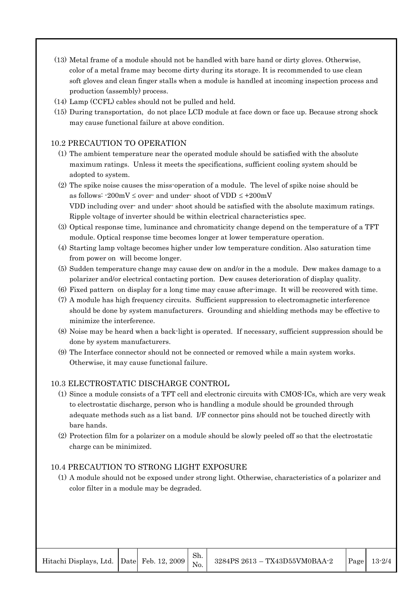- (13) Metal frame of a module should not be handled with bare hand or dirty gloves. Otherwise, color of a metal frame may become dirty during its storage. It is recommended to use clean soft gloves and clean finger stalls when a module is handled at incoming inspection process and production (assembly) process.
- (14) Lamp (CCFL) cables should not be pulled and held.
- (15) During transportation, do not place LCD module at face down or face up. Because strong shock may cause functional failure at above condition.

#### 10.2 PRECAUTION TO OPERATION

- (1) The ambient temperature near the operated module should be satisfied with the absolute maximum ratings. Unless it meets the specifications, sufficient cooling system should be adopted to system.
- (2) The spike noise causes the miss-operation of a module. The level of spike noise should be as follows:  $-200mV \le$  over- and under-shoot of VDD  $\le +200mV$ VDD including over- and under- shoot should be satisfied with the absolute maximum ratings. Ripple voltage of inverter should be within electrical characteristics spec.
- (3) Optical response time, luminance and chromaticity change depend on the temperature of a TFT module. Optical response time becomes longer at lower temperature operation.
- (4) Starting lamp voltage becomes higher under low temperature condition. Also saturation time from power on will become longer.
- (5) Sudden temperature change may cause dew on and/or in the a module. Dew makes damage to a polarizer and/or electrical contacting portion. Dew causes deterioration of display quality.
- (6) Fixed pattern on display for a long time may cause after-image. It will be recovered with time.
- (7) A module has high frequency circuits. Sufficient suppression to electromagnetic interference should be done by system manufacturers. Grounding and shielding methods may be effective to minimize the interference.
- (8) Noise may be heard when a back-light is operated. If necessary, sufficient suppression should be done by system manufacturers.
- (9) The Interface connector should not be connected or removed while a main system works. Otherwise, it may cause functional failure.

#### 10.3 ELECTROSTATIC DISCHARGE CONTROL

- (1) Since a module consists of a TFT cell and electronic circuits with CMOS-ICs, which are very weak to electrostatic discharge, person who is handling a module should be grounded through adequate methods such as a list band. I/F connector pins should not be touched directly with bare hands.
- (2) Protection film for a polarizer on a module should be slowly peeled off so that the electrostatic charge can be minimized.

#### 10.4 PRECAUTION TO STRONG LIGHT EXPOSURE

(1) A module should not be exposed under strong light. Otherwise, characteristics of a polarizer and color filter in a module may be degraded.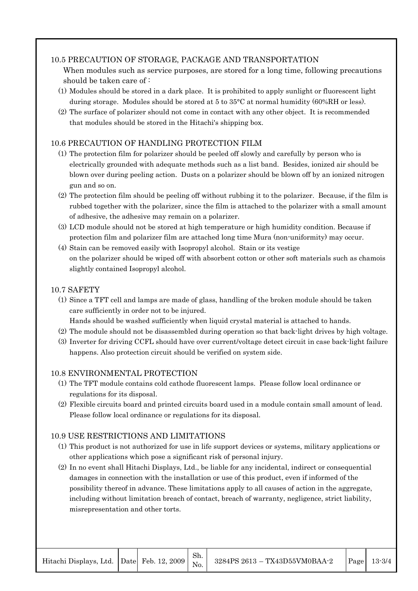#### 10.5 PRECAUTION OF STORAGE, PACKAGE AND TRANSPORTATION

- When modules such as service purposes, are stored for a long time, following precautions should be taken care of :
- (1) Modules should be stored in a dark place. It is prohibited to apply sunlight or fluorescent light during storage. Modules should be stored at 5 to 35°C at normal humidity (60%RH or less).
- (2) The surface of polarizer should not come in contact with any other object. It is recommended that modules should be stored in the Hitachi's shipping box.

### 10.6 PRECAUTION OF HANDLING PROTECTION FILM

- (1) The protection film for polarizer should be peeled off slowly and carefully by person who is electrically grounded with adequate methods such as a list band. Besides, ionized air should be blown over during peeling action. Dusts on a polarizer should be blown off by an ionized nitrogen gun and so on.
- (2) The protection film should be peeling off without rubbing it to the polarizer. Because, if the film is rubbed together with the polarizer, since the film is attached to the polarizer with a small amount of adhesive, the adhesive may remain on a polarizer.
- (3) LCD module should not be stored at high temperature or high humidity condition. Because if protection film and polarizer film are attached long time Mura (non-uniformity) may occur.
- (4) Stain can be removed easily with Isopropyl alcohol. Stain or its vestige on the polarizer should be wiped off with absorbent cotton or other soft materials such as chamois slightly contained Isopropyl alcohol.

#### 10.7 SAFETY

- (1) Since a TFT cell and lamps are made of glass, handling of the broken module should be taken care sufficiently in order not to be injured.
	- Hands should be washed sufficiently when liquid crystal material is attached to hands.
- (2) The module should not be disassembled during operation so that back-light drives by high voltage.
- (3) Inverter for driving CCFL should have over current/voltage detect circuit in case back-light failure happens. Also protection circuit should be verified on system side.

#### 10.8 ENVIRONMENTAL PROTECTION

- (1) The TFT module contains cold cathode fluorescent lamps. Please follow local ordinance or regulations for its disposal.
- (2) Flexible circuits board and printed circuits board used in a module contain small amount of lead. Please follow local ordinance or regulations for its disposal.

### 10.9 USE RESTRICTIONS AND LIMITATIONS

- (1) This product is not authorized for use in life support devices or systems, military applications or other applications which pose a significant risk of personal injury.
- (2) In no event shall Hitachi Displays, Ltd., be liable for any incidental, indirect or consequential damages in connection with the installation or use of this product, even if informed of the possibility thereof in advance. These limitations apply to all causes of action in the aggregate, including without limitation breach of contact, breach of warranty, negligence, strict liability, misrepresentation and other torts.